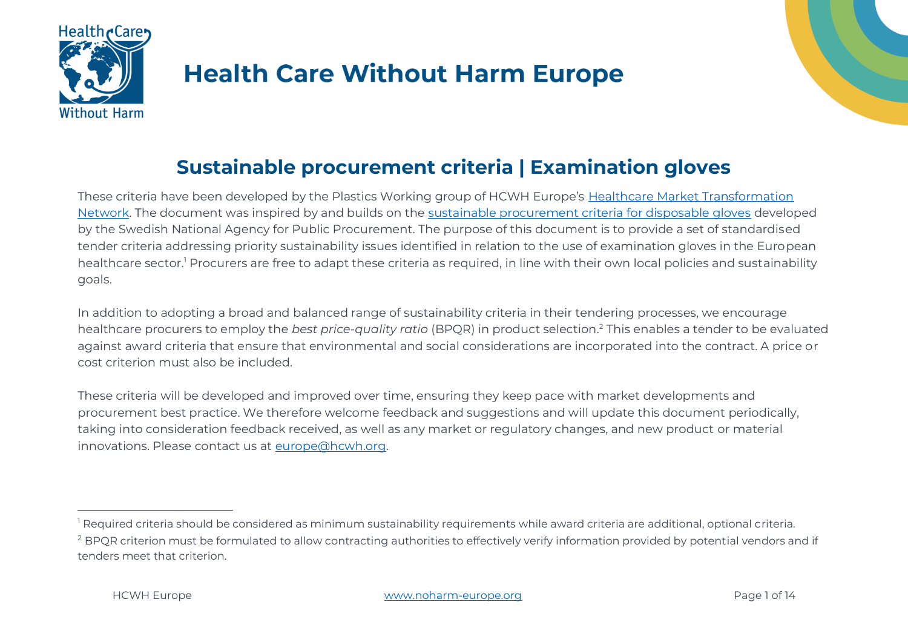

# **Health Care Without Harm Europe**



These criteria have been developed by the Plastics Working group of HCWH Europe's [Healthcare Market Transformation](https://noharm-europe.org/healthcare-market-transformation-network)  [Network.](https://noharm-europe.org/healthcare-market-transformation-network) The document was inspired by and builds on the [sustainable procurement criteria for disposable gloves](https://www.upphandlingsmyndigheten.se/kriterier/sjukvard-och-omsorg/medicintekniska-forbrukningsartiklar/engangshandskar-inom-vard-och-omsorg/) developed by the Swedish National Agency for Public Procurement. The purpose of this document is to provide a set of standardised tender criteria addressing priority sustainability issues identified in relation to the use of examination gloves in the European healthcare sector.<sup>1</sup> Procurers are free to adapt these criteria as required, in line with their own local policies and sustainability goals.

In addition to adopting a broad and balanced range of sustainability criteria in their tendering processes, we encourage healthcare procurers to employ the *best price-quality ratio* (BPQR) in product selection.<sup>2</sup> This enables a tender to be evaluated against award criteria that ensure that environmental and social considerations are incorporated into the contract. A price or cost criterion must also be included.

These criteria will be developed and improved over time, ensuring they keep pace with market developments and procurement best practice. We therefore welcome feedback and suggestions and will update this document periodically, taking into consideration feedback received, as well as any market or regulatory changes, and new product or material innovations. Please contact us at [europe@hcwh.org.](mailto:europe@hcwh.org)

<sup>&</sup>lt;sup>1</sup> Required criteria should be considered as minimum sustainability requirements while award criteria are additional, optional criteria. <sup>2</sup> BPQR criterion must be formulated to allow contracting authorities to effectively verify information provided by potential vendors and if tenders meet that criterion.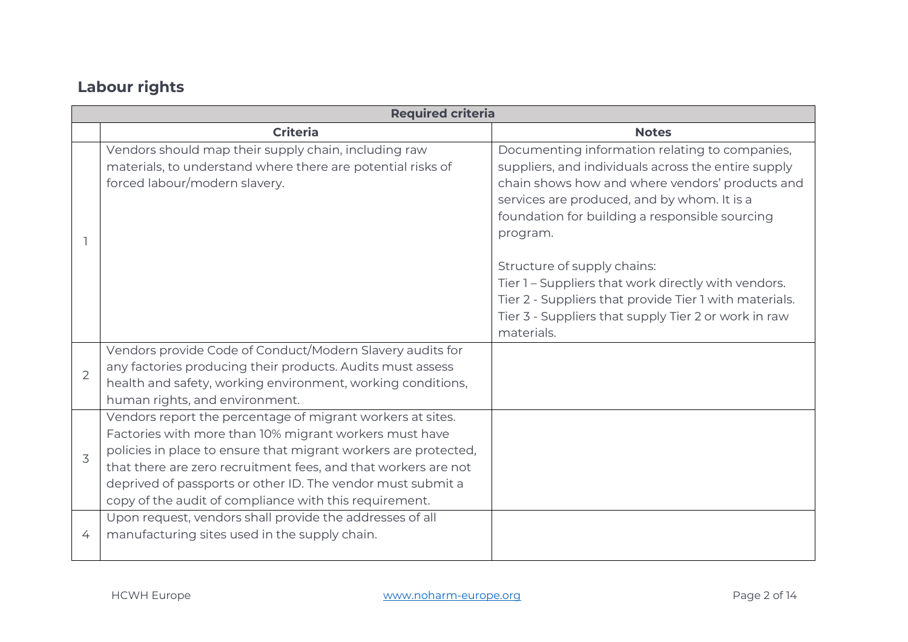# **Labour rights**

|                | <b>Required criteria</b>                                                                                                                                                                                                                                                                                                                                                           |                                                                                                                                                                                                                                                                       |  |
|----------------|------------------------------------------------------------------------------------------------------------------------------------------------------------------------------------------------------------------------------------------------------------------------------------------------------------------------------------------------------------------------------------|-----------------------------------------------------------------------------------------------------------------------------------------------------------------------------------------------------------------------------------------------------------------------|--|
|                | <b>Criteria</b>                                                                                                                                                                                                                                                                                                                                                                    | <b>Notes</b>                                                                                                                                                                                                                                                          |  |
|                | Vendors should map their supply chain, including raw<br>materials, to understand where there are potential risks of<br>forced labour/modern slavery.                                                                                                                                                                                                                               | Documenting information relating to companies,<br>suppliers, and individuals across the entire supply<br>chain shows how and where vendors' products and<br>services are produced, and by whom. It is a<br>foundation for building a responsible sourcing<br>program. |  |
|                |                                                                                                                                                                                                                                                                                                                                                                                    | Structure of supply chains:<br>Tier 1 – Suppliers that work directly with vendors.<br>Tier 2 - Suppliers that provide Tier 1 with materials.<br>Tier 3 - Suppliers that supply Tier 2 or work in raw<br>materials.                                                    |  |
| $\overline{2}$ | Vendors provide Code of Conduct/Modern Slavery audits for<br>any factories producing their products. Audits must assess<br>health and safety, working environment, working conditions,<br>human rights, and environment.                                                                                                                                                           |                                                                                                                                                                                                                                                                       |  |
| 3              | Vendors report the percentage of migrant workers at sites.<br>Factories with more than 10% migrant workers must have<br>policies in place to ensure that migrant workers are protected,<br>that there are zero recruitment fees, and that workers are not<br>deprived of passports or other ID. The vendor must submit a<br>copy of the audit of compliance with this requirement. |                                                                                                                                                                                                                                                                       |  |
| 4              | Upon request, vendors shall provide the addresses of all<br>manufacturing sites used in the supply chain.                                                                                                                                                                                                                                                                          |                                                                                                                                                                                                                                                                       |  |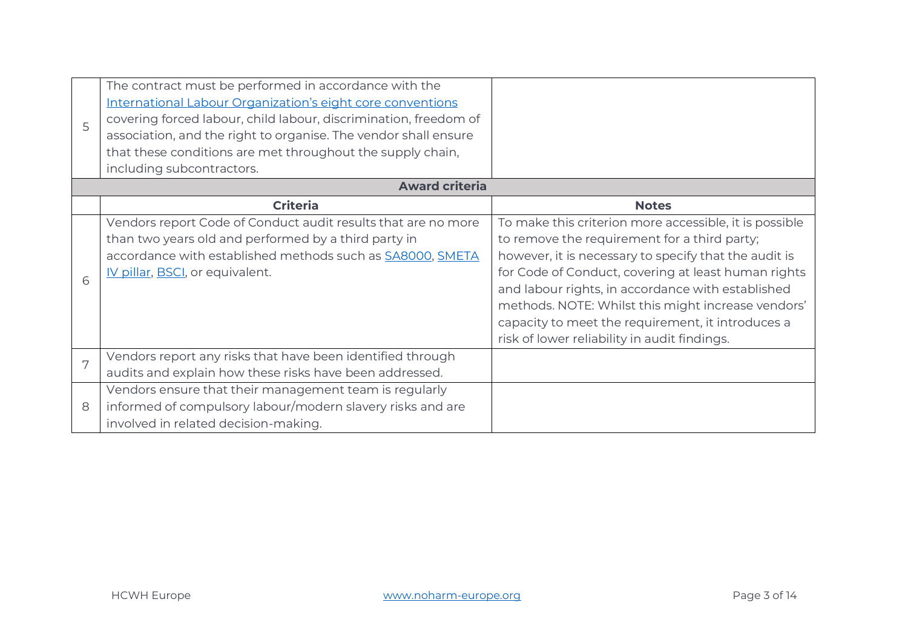| 5 | The contract must be performed in accordance with the<br>International Labour Organization's eight core conventions<br>covering forced labour, child labour, discrimination, freedom of<br>association, and the right to organise. The vendor shall ensure<br>that these conditions are met throughout the supply chain,<br>including subcontractors. |                                                                                                                                                                                                                                                                                                                                                                                                                                        |
|---|-------------------------------------------------------------------------------------------------------------------------------------------------------------------------------------------------------------------------------------------------------------------------------------------------------------------------------------------------------|----------------------------------------------------------------------------------------------------------------------------------------------------------------------------------------------------------------------------------------------------------------------------------------------------------------------------------------------------------------------------------------------------------------------------------------|
|   | <b>Award criteria</b>                                                                                                                                                                                                                                                                                                                                 |                                                                                                                                                                                                                                                                                                                                                                                                                                        |
|   | <b>Criteria</b>                                                                                                                                                                                                                                                                                                                                       | <b>Notes</b>                                                                                                                                                                                                                                                                                                                                                                                                                           |
| 6 | Vendors report Code of Conduct audit results that are no more<br>than two years old and performed by a third party in<br>accordance with established methods such as SA8000, SMETA<br>IV pillar, BSCI, or equivalent.                                                                                                                                 | To make this criterion more accessible, it is possible<br>to remove the requirement for a third party;<br>however, it is necessary to specify that the audit is<br>for Code of Conduct, covering at least human rights<br>and labour rights, in accordance with established<br>methods. NOTE: Whilst this might increase vendors'<br>capacity to meet the requirement, it introduces a<br>risk of lower reliability in audit findings. |
| 7 | Vendors report any risks that have been identified through<br>audits and explain how these risks have been addressed.                                                                                                                                                                                                                                 |                                                                                                                                                                                                                                                                                                                                                                                                                                        |
| 8 | Vendors ensure that their management team is regularly<br>informed of compulsory labour/modern slavery risks and are<br>involved in related decision-making.                                                                                                                                                                                          |                                                                                                                                                                                                                                                                                                                                                                                                                                        |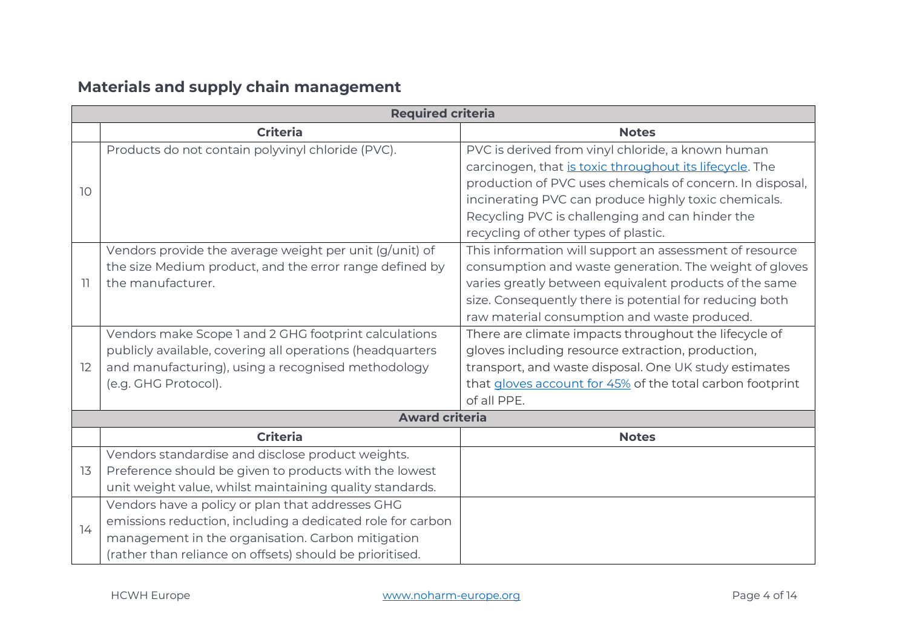## **Materials and supply chain management**

| <b>Required criteria</b> |                                                            |                                                           |  |
|--------------------------|------------------------------------------------------------|-----------------------------------------------------------|--|
|                          | <b>Criteria</b>                                            | <b>Notes</b>                                              |  |
| 10                       | Products do not contain polyvinyl chloride (PVC).          | PVC is derived from vinyl chloride, a known human         |  |
|                          |                                                            | carcinogen, that is toxic throughout its lifecycle. The   |  |
|                          |                                                            | production of PVC uses chemicals of concern. In disposal, |  |
|                          |                                                            | incinerating PVC can produce highly toxic chemicals.      |  |
|                          |                                                            | Recycling PVC is challenging and can hinder the           |  |
|                          |                                                            | recycling of other types of plastic.                      |  |
|                          | Vendors provide the average weight per unit (g/unit) of    | This information will support an assessment of resource   |  |
|                          | the size Medium product, and the error range defined by    | consumption and waste generation. The weight of gloves    |  |
| $\overline{1}$           | the manufacturer.                                          | varies greatly between equivalent products of the same    |  |
|                          |                                                            | size. Consequently there is potential for reducing both   |  |
|                          |                                                            | raw material consumption and waste produced.              |  |
|                          | Vendors make Scope 1 and 2 GHG footprint calculations      | There are climate impacts throughout the lifecycle of     |  |
|                          | publicly available, covering all operations (headquarters  | gloves including resource extraction, production,         |  |
| 12                       | and manufacturing), using a recognised methodology         | transport, and waste disposal. One UK study estimates     |  |
|                          | (e.g. GHG Protocol).                                       | that gloves account for 45% of the total carbon footprint |  |
|                          |                                                            | of all PPE.                                               |  |
|                          | <b>Award criteria</b>                                      |                                                           |  |
|                          | <b>Criteria</b>                                            | <b>Notes</b>                                              |  |
|                          | Vendors standardise and disclose product weights.          |                                                           |  |
| 13                       | Preference should be given to products with the lowest     |                                                           |  |
|                          | unit weight value, whilst maintaining quality standards.   |                                                           |  |
|                          | Vendors have a policy or plan that addresses GHG           |                                                           |  |
| 14                       | emissions reduction, including a dedicated role for carbon |                                                           |  |
|                          | management in the organisation. Carbon mitigation          |                                                           |  |
|                          | (rather than reliance on offsets) should be prioritised.   |                                                           |  |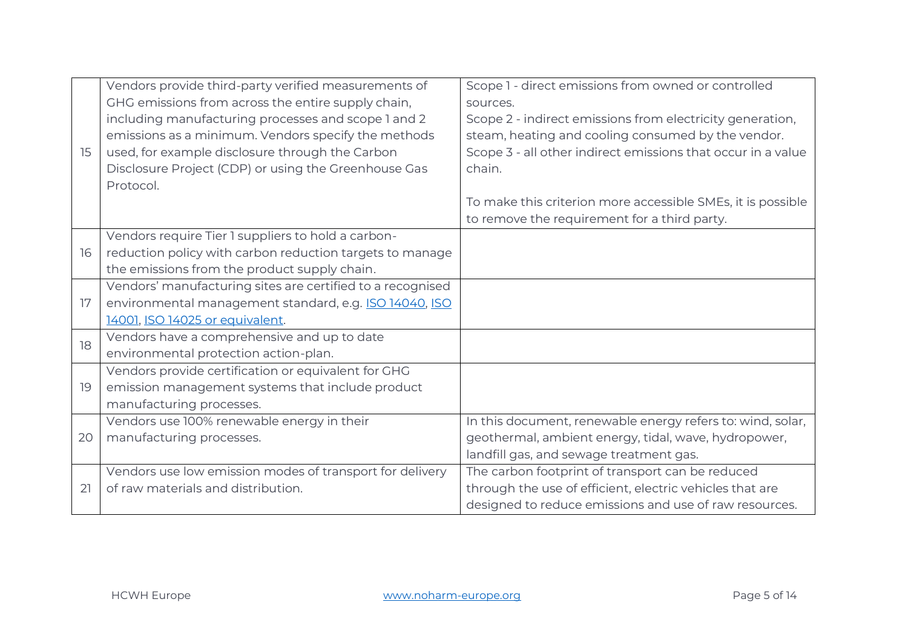|    | Vendors provide third-party verified measurements of       | Scope 1 - direct emissions from owned or controlled          |
|----|------------------------------------------------------------|--------------------------------------------------------------|
|    | GHG emissions from across the entire supply chain,         | sources.                                                     |
|    | including manufacturing processes and scope 1 and 2        | Scope 2 - indirect emissions from electricity generation,    |
|    | emissions as a minimum. Vendors specify the methods        | steam, heating and cooling consumed by the vendor.           |
| 15 | used, for example disclosure through the Carbon            | Scope 3 - all other indirect emissions that occur in a value |
|    | Disclosure Project (CDP) or using the Greenhouse Gas       | chain.                                                       |
|    | Protocol.                                                  |                                                              |
|    |                                                            | To make this criterion more accessible SMEs, it is possible  |
|    |                                                            | to remove the requirement for a third party.                 |
|    | Vendors require Tier 1 suppliers to hold a carbon-         |                                                              |
| 16 | reduction policy with carbon reduction targets to manage   |                                                              |
|    | the emissions from the product supply chain.               |                                                              |
|    | Vendors' manufacturing sites are certified to a recognised |                                                              |
| 17 | environmental management standard, e.g. ISO 14040, ISO     |                                                              |
|    | 14001, ISO 14025 or equivalent.                            |                                                              |
| 18 | Vendors have a comprehensive and up to date                |                                                              |
|    | environmental protection action-plan.                      |                                                              |
|    | Vendors provide certification or equivalent for GHG        |                                                              |
| 19 | emission management systems that include product           |                                                              |
|    | manufacturing processes.                                   |                                                              |
|    | Vendors use 100% renewable energy in their                 | In this document, renewable energy refers to: wind, solar,   |
| 20 | manufacturing processes.                                   | geothermal, ambient energy, tidal, wave, hydropower,         |
|    |                                                            | landfill gas, and sewage treatment gas.                      |
|    | Vendors use low emission modes of transport for delivery   | The carbon footprint of transport can be reduced             |
| 21 | of raw materials and distribution.                         | through the use of efficient, electric vehicles that are     |
|    |                                                            | designed to reduce emissions and use of raw resources.       |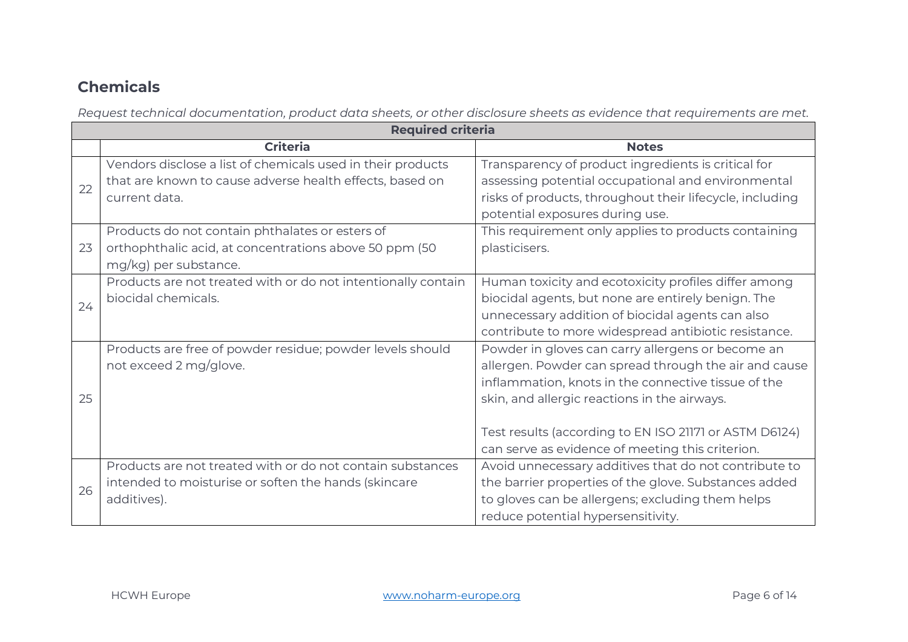## **Chemicals**

*Request technical documentation, product data sheets, or other disclosure sheets as evidence that requirements are met.*

|    | <b>Required criteria</b>                                      |                                                          |  |
|----|---------------------------------------------------------------|----------------------------------------------------------|--|
|    | <b>Criteria</b>                                               | <b>Notes</b>                                             |  |
| 22 | Vendors disclose a list of chemicals used in their products   | Transparency of product ingredients is critical for      |  |
|    | that are known to cause adverse health effects, based on      | assessing potential occupational and environmental       |  |
|    | current data.                                                 | risks of products, throughout their lifecycle, including |  |
|    |                                                               | potential exposures during use.                          |  |
|    | Products do not contain phthalates or esters of               | This requirement only applies to products containing     |  |
| 23 | orthophthalic acid, at concentrations above 50 ppm (50)       | plasticisers.                                            |  |
|    | mg/kg) per substance.                                         |                                                          |  |
|    | Products are not treated with or do not intentionally contain | Human toxicity and ecotoxicity profiles differ among     |  |
| 24 | biocidal chemicals.                                           | biocidal agents, but none are entirely benign. The       |  |
|    |                                                               | unnecessary addition of biocidal agents can also         |  |
|    |                                                               | contribute to more widespread antibiotic resistance.     |  |
|    | Products are free of powder residue; powder levels should     | Powder in gloves can carry allergens or become an        |  |
|    | not exceed 2 mg/glove.                                        | allergen. Powder can spread through the air and cause    |  |
|    |                                                               | inflammation, knots in the connective tissue of the      |  |
| 25 |                                                               | skin, and allergic reactions in the airways.             |  |
|    |                                                               |                                                          |  |
|    |                                                               | Test results (according to EN ISO 21171 or ASTM D6124)   |  |
|    |                                                               | can serve as evidence of meeting this criterion.         |  |
|    | Products are not treated with or do not contain substances    | Avoid unnecessary additives that do not contribute to    |  |
| 26 | intended to moisturise or soften the hands (skincare          | the barrier properties of the glove. Substances added    |  |
|    | additives).                                                   | to gloves can be allergens; excluding them helps         |  |
|    |                                                               | reduce potential hypersensitivity.                       |  |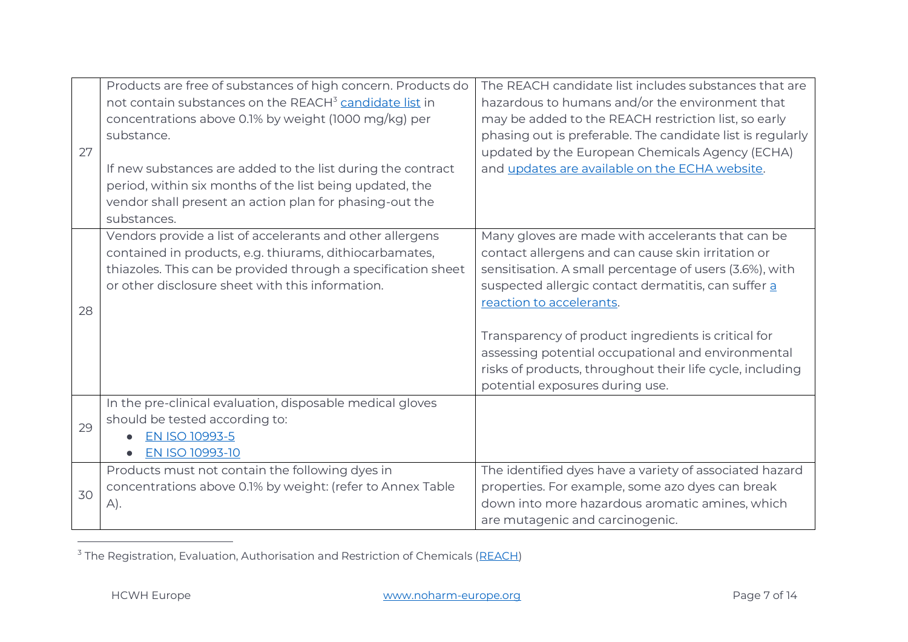| 27 | Products are free of substances of high concern. Products do<br>not contain substances on the REACH <sup>3</sup> candidate list in<br>concentrations above 0.1% by weight (1000 mg/kg) per<br>substance.                                  | The REACH candidate list includes substances that are<br>hazardous to humans and/or the environment that<br>may be added to the REACH restriction list, so early<br>phasing out is preferable. The candidate list is regularly<br>updated by the European Chemicals Agency (ECHA)                                                                                                                                                                                  |
|----|-------------------------------------------------------------------------------------------------------------------------------------------------------------------------------------------------------------------------------------------|--------------------------------------------------------------------------------------------------------------------------------------------------------------------------------------------------------------------------------------------------------------------------------------------------------------------------------------------------------------------------------------------------------------------------------------------------------------------|
|    | If new substances are added to the list during the contract<br>period, within six months of the list being updated, the<br>vendor shall present an action plan for phasing-out the<br>substances.                                         | and updates are available on the ECHA website.                                                                                                                                                                                                                                                                                                                                                                                                                     |
| 28 | Vendors provide a list of accelerants and other allergens<br>contained in products, e.g. thiurams, dithiocarbamates,<br>thiazoles. This can be provided through a specification sheet<br>or other disclosure sheet with this information. | Many gloves are made with accelerants that can be<br>contact allergens and can cause skin irritation or<br>sensitisation. A small percentage of users (3.6%), with<br>suspected allergic contact dermatitis, can suffer a<br>reaction to accelerants.<br>Transparency of product ingredients is critical for<br>assessing potential occupational and environmental<br>risks of products, throughout their life cycle, including<br>potential exposures during use. |
| 29 | In the pre-clinical evaluation, disposable medical gloves<br>should be tested according to:<br><b>EN ISO 10993-5</b><br>EN ISO 10993-10                                                                                                   |                                                                                                                                                                                                                                                                                                                                                                                                                                                                    |
| 30 | Products must not contain the following dyes in<br>concentrations above 0.1% by weight: (refer to Annex Table<br>$A$ ).                                                                                                                   | The identified dyes have a variety of associated hazard<br>properties. For example, some azo dyes can break<br>down into more hazardous aromatic amines, which<br>are mutagenic and carcinogenic.                                                                                                                                                                                                                                                                  |

 $3$  The Registration, Evaluation, Authorisation and Restriction of Chemicals [\(REACH\)](https://eur-lex.europa.eu/legal-content/EN/TXT/?uri=CELEX%3A02006R1907-20140410)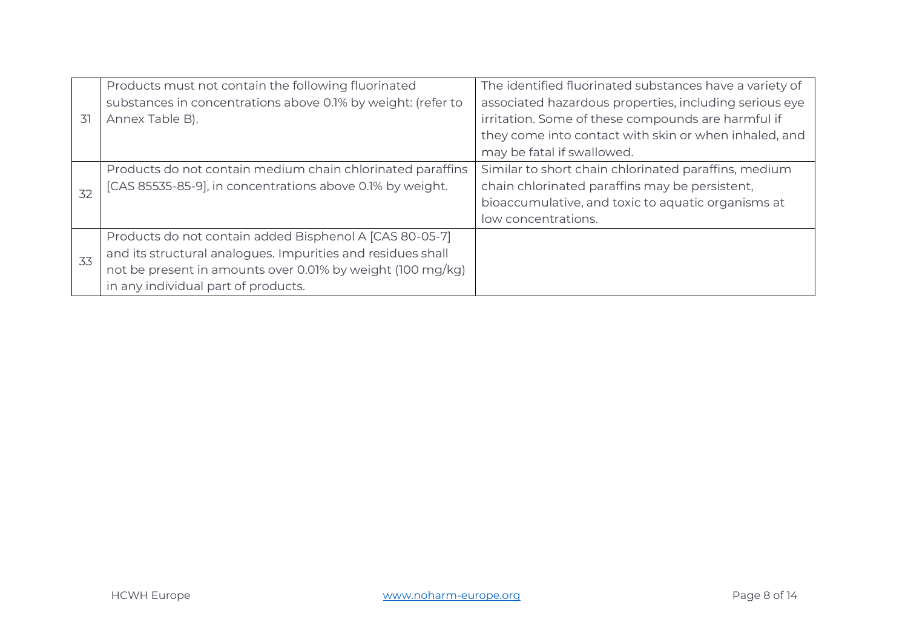| 31 | Products must not contain the following fluorinated<br>substances in concentrations above 0.1% by weight: (refer to<br>Annex Table B).                                                                                      | The identified fluorinated substances have a variety of<br>associated hazardous properties, including serious eye<br>irritation. Some of these compounds are harmful if<br>they come into contact with skin or when inhaled, and |
|----|-----------------------------------------------------------------------------------------------------------------------------------------------------------------------------------------------------------------------------|----------------------------------------------------------------------------------------------------------------------------------------------------------------------------------------------------------------------------------|
|    |                                                                                                                                                                                                                             | may be fatal if swallowed.                                                                                                                                                                                                       |
| 32 | Products do not contain medium chain chlorinated paraffins<br>[CAS 85535-85-9], in concentrations above 0.1% by weight.                                                                                                     | Similar to short chain chlorinated paraffins, medium<br>chain chlorinated paraffins may be persistent,<br>bioaccumulative, and toxic to aquatic organisms at<br>low concentrations.                                              |
| 33 | Products do not contain added Bisphenol A [CAS 80-05-7]<br>and its structural analogues. Impurities and residues shall<br>not be present in amounts over 0.01% by weight (100 mg/kg)<br>in any individual part of products. |                                                                                                                                                                                                                                  |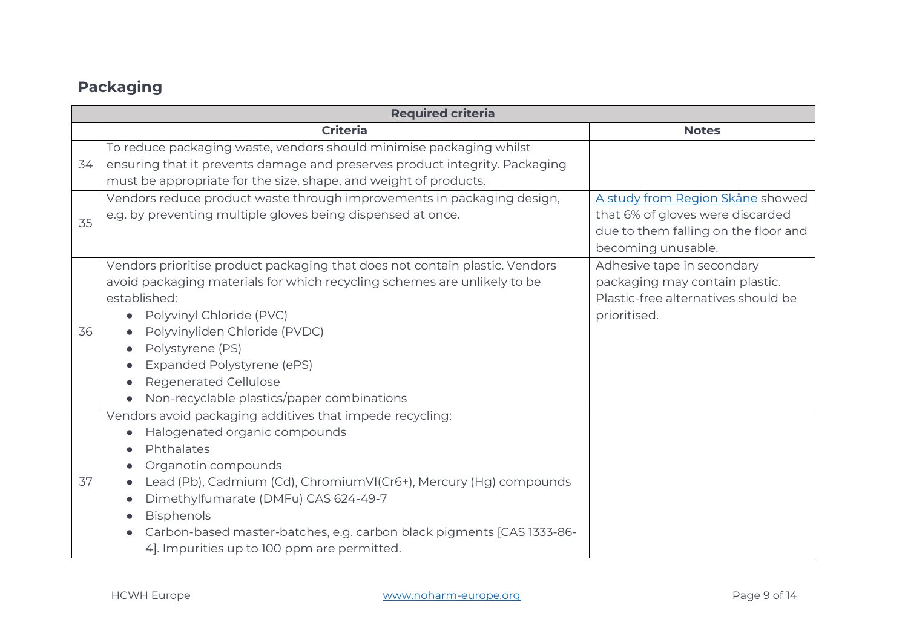## **Packaging**

|    | <b>Required criteria</b>                                                                                                                                                                                                                                                                                                                                                          |                                                                                                                                    |  |  |
|----|-----------------------------------------------------------------------------------------------------------------------------------------------------------------------------------------------------------------------------------------------------------------------------------------------------------------------------------------------------------------------------------|------------------------------------------------------------------------------------------------------------------------------------|--|--|
|    | <b>Criteria</b>                                                                                                                                                                                                                                                                                                                                                                   | <b>Notes</b>                                                                                                                       |  |  |
| 34 | To reduce packaging waste, vendors should minimise packaging whilst<br>ensuring that it prevents damage and preserves product integrity. Packaging<br>must be appropriate for the size, shape, and weight of products.                                                                                                                                                            |                                                                                                                                    |  |  |
| 35 | Vendors reduce product waste through improvements in packaging design,<br>e.g. by preventing multiple gloves being dispensed at once.                                                                                                                                                                                                                                             | A study from Region Skåne showed<br>that 6% of gloves were discarded<br>due to them falling on the floor and<br>becoming unusable. |  |  |
| 36 | Vendors prioritise product packaging that does not contain plastic. Vendors<br>avoid packaging materials for which recycling schemes are unlikely to be<br>established:<br>Polyvinyl Chloride (PVC)<br>Polyvinyliden Chloride (PVDC)<br>Polystyrene (PS)<br>Expanded Polystyrene (ePS)<br><b>Regenerated Cellulose</b><br>Non-recyclable plastics/paper combinations              | Adhesive tape in secondary<br>packaging may contain plastic.<br>Plastic-free alternatives should be<br>prioritised.                |  |  |
| 37 | Vendors avoid packaging additives that impede recycling:<br>Halogenated organic compounds<br>Phthalates<br>Organotin compounds<br>Lead (Pb), Cadmium (Cd), ChromiumVI(Cr6+), Mercury (Hg) compounds<br>Dimethylfumarate (DMFu) CAS 624-49-7<br>Bisphenols<br>Carbon-based master-batches, e.g. carbon black pigments [CAS 1333-86-<br>4]. Impurities up to 100 ppm are permitted. |                                                                                                                                    |  |  |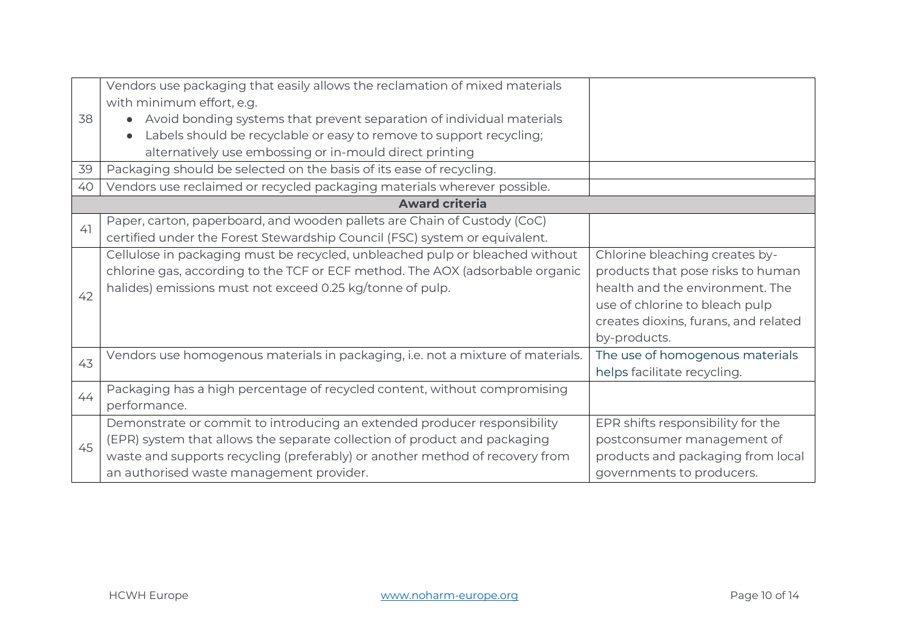|    | Vendors use packaging that easily allows the reclamation of mixed materials     |                                      |
|----|---------------------------------------------------------------------------------|--------------------------------------|
|    | with minimum effort, e.g.                                                       |                                      |
| 38 | Avoid bonding systems that prevent separation of individual materials           |                                      |
|    | Labels should be recyclable or easy to remove to support recycling;             |                                      |
|    | alternatively use embossing or in-mould direct printing                         |                                      |
| 39 | Packaging should be selected on the basis of its ease of recycling.             |                                      |
| 40 | Vendors use reclaimed or recycled packaging materials wherever possible.        |                                      |
|    | <b>Award criteria</b>                                                           |                                      |
| 41 | Paper, carton, paperboard, and wooden pallets are Chain of Custody (CoC)        |                                      |
|    | certified under the Forest Stewardship Council (FSC) system or equivalent.      |                                      |
|    | Cellulose in packaging must be recycled, unbleached pulp or bleached without    | Chlorine bleaching creates by-       |
|    | chlorine gas, according to the TCF or ECF method. The AOX (adsorbable organic   | products that pose risks to human    |
| 42 | halides) emissions must not exceed 0.25 kg/tonne of pulp.                       | health and the environment. The      |
|    |                                                                                 | use of chlorine to bleach pulp       |
|    |                                                                                 | creates dioxins, furans, and related |
|    |                                                                                 | by-products.                         |
| 43 | Vendors use homogenous materials in packaging, i.e. not a mixture of materials. | The use of homogenous materials      |
|    |                                                                                 | helps facilitate recycling.          |
| 44 | Packaging has a high percentage of recycled content, without compromising       |                                      |
|    | performance.                                                                    |                                      |
|    | Demonstrate or commit to introducing an extended producer responsibility        | EPR shifts responsibility for the    |
| 45 | (EPR) system that allows the separate collection of product and packaging       | postconsumer management of           |
|    | waste and supports recycling (preferably) or another method of recovery from    | products and packaging from local    |
|    | an authorised waste management provider.                                        | governments to producers.            |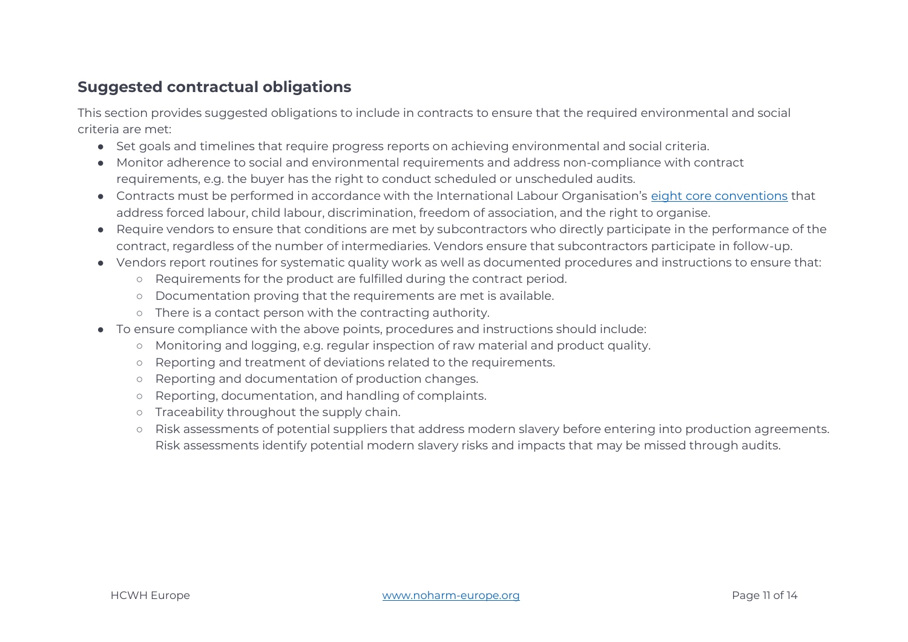#### **Suggested contractual obligations**

This section provides suggested obligations to include in contracts to ensure that the required environmental and social criteria are met:

- Set goals and timelines that require progress reports on achieving environmental and social criteria.
- Monitor adherence to social and environmental requirements and address non-compliance with contract requirements, e.g. the buyer has the right to conduct scheduled or unscheduled audits.
- Contracts must be performed in accordance with the International Labour Organisation's [eight core conventions](https://www.upphandlingsmyndigheten.se/en/criteria/labour-law-requirements/ilo-core-conventions-and-sustainable-supply-chains/requirements-under-the-ilo-core-conventions/requirements-under-the-ilo-core-conventions/core/) that address forced labour, child labour, discrimination, freedom of association, and the right to organise.
- Require vendors to ensure that conditions are met by subcontractors who directly participate in the performance of the contract, regardless of the number of intermediaries. Vendors ensure that subcontractors participate in follow-up.
- Vendors report routines for systematic quality work as well as documented procedures and instructions to ensure that:
	- Requirements for the product are fulfilled during the contract period.
	- Documentation proving that the requirements are met is available.
	- There is a contact person with the contracting authority.
- To ensure compliance with the above points, procedures and instructions should include:
	- Monitoring and logging, e.g. regular inspection of raw material and product quality.
	- Reporting and treatment of deviations related to the requirements.
	- Reporting and documentation of production changes.
	- Reporting, documentation, and handling of complaints.
	- Traceability throughout the supply chain.
	- Risk assessments of potential suppliers that address modern slavery before entering into production agreements. Risk assessments identify potential modern slavery risks and impacts that may be missed through audits.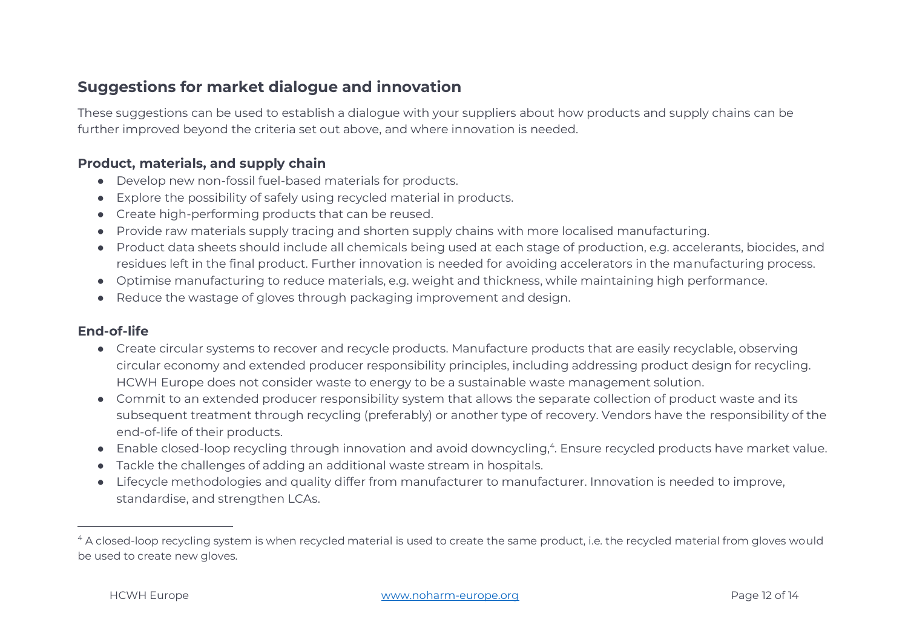### **Suggestions for market dialogue and innovation**

These suggestions can be used to establish a dialogue with your suppliers about how products and supply chains can be further improved beyond the criteria set out above, and where innovation is needed.

#### **Product, materials, and supply chain**

- Develop new non-fossil fuel-based materials for products.
- Explore the possibility of safely using recycled material in products.
- Create high-performing products that can be reused.
- Provide raw materials supply tracing and shorten supply chains with more localised manufacturing.
- Product data sheets should include all chemicals being used at each stage of production, e.g. accelerants, biocides, and residues left in the final product. Further innovation is needed for avoiding accelerators in the manufacturing process.
- Optimise manufacturing to reduce materials, e.g. weight and thickness, while maintaining high performance.
- Reduce the wastage of gloves through packaging improvement and design.

#### **End-of-life**

- Create circular systems to recover and recycle products. Manufacture products that are easily recyclable, observing circular economy and extended producer responsibility principles, including addressing product design for recycling. HCWH Europe does not consider waste to energy to be a sustainable waste management solution.
- Commit to an extended producer responsibility system that allows the separate collection of product waste and its subsequent treatment through recycling (preferably) or another type of recovery. Vendors have the responsibility of the end-of-life of their products.
- Enable closed-loop recycling through innovation and avoid downcycling,<sup>4</sup>. Ensure recycled products have market value.
- Tackle the challenges of adding an additional waste stream in hospitals.
- Lifecycle methodologies and quality differ from manufacturer to manufacturer. Innovation is needed to improve, standardise, and strengthen LCAs.

<sup>&</sup>lt;sup>4</sup> A closed-loop recycling system is when recycled material is used to create the same product, i.e. the recycled material from gloves would be used to create new gloves.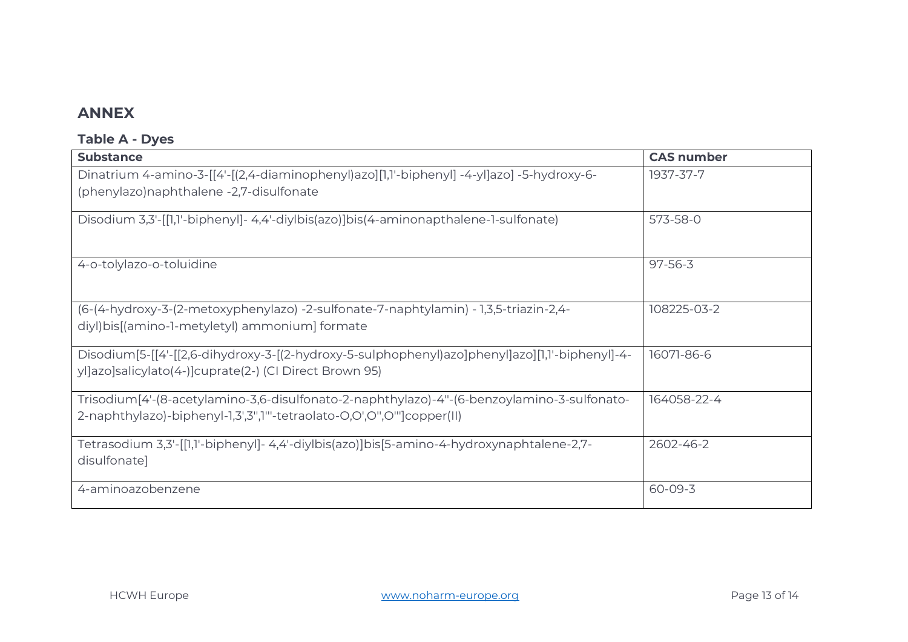#### **ANNEX**

#### **Table A - Dyes**

| <b>Substance</b>                                                                               | <b>CAS number</b> |
|------------------------------------------------------------------------------------------------|-------------------|
| Dinatrium 4-amino-3-[[4'-[(2,4-diaminophenyl)azo][1,1'-biphenyl] -4-yl]azo] -5-hydroxy-6-      | 1937-37-7         |
| (phenylazo) naphthalene -2,7-disulfonate                                                       |                   |
| Disodium 3,3'-[[1,1'-biphenyl]- 4,4'-diylbis(azo)]bis(4-aminonapthalene-1-sulfonate)           | 573-58-0          |
|                                                                                                |                   |
|                                                                                                |                   |
| 4-o-tolylazo-o-toluidine                                                                       | $97 - 56 - 3$     |
|                                                                                                |                   |
| (6-(4-hydroxy-3-(2-metoxyphenylazo) -2-sulfonate-7-naphtylamin) - 1,3,5-triazin-2,4-           | 108225-03-2       |
| diyl)bis[(amino-1-metyletyl) ammonium] formate                                                 |                   |
| Disodium[5-[[4'-[[2,6-dihydroxy-3-[(2-hydroxy-5-sulphophenyl)azo]phenyl]azo][1,1'-biphenyl]-4- | 16071-86-6        |
| yllazolsalicylato(4-) cuprate(2-) (CI Direct Brown 95)                                         |                   |
| Trisodium [4'-(8-acetylamino-3,6-disulfonato-2-naphthylazo)-4"-(6-benzoylamino-3-sulfonato-    | 164058-22-4       |
| 2-naphthylazo)-biphenyl-1,3',3",1"'-tetraolato-O,O',O'',O''']copper(II)                        |                   |
|                                                                                                |                   |
| -7,7- Tetrasodium 3,3'-[[1,1'-biphenyl]- 4,4'-diylbis(azo)]bis[5-amino-4-hydroxynaphtalene     | 2602-46-2         |
| disulfonate]                                                                                   |                   |
| 4-aminoazobenzene                                                                              | 60-09-3           |
|                                                                                                |                   |